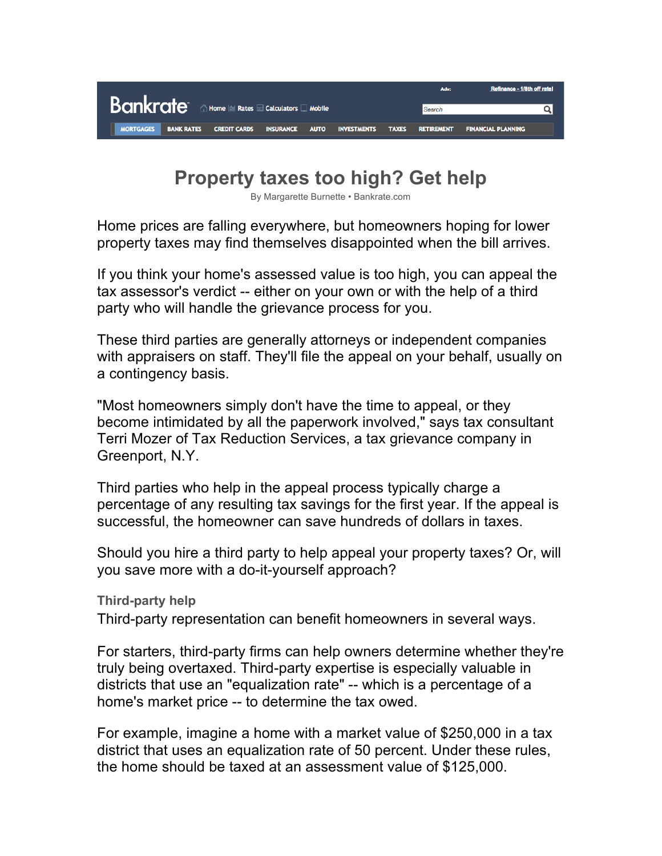

## **Property taxes too high? Get help**

By Margarette Burnette • Bankrate.com

Home prices are falling everywhere, but homeowners hoping for lower property taxes may find themselves disappointed when the bill arrives.

If you think your home's assessed value is too high, you can appeal the tax assessor's verdict -- either on your own or with the help of a third party who will handle the grievance process for you.

These third parties are generally attorneys or independent companies with appraisers on staff. They'll file the appeal on your behalf, usually on a contingency basis.

"Most homeowners simply don't have the time to appeal, or they become intimidated by all the paperwork involved," says tax consultant Terri Mozer of Tax Reduction Services, a tax grievance company in Greenport, N.Y.

Third parties who help in the appeal process typically charge a percentage of any resulting tax savings for the first year. If the appeal is successful, the homeowner can save hundreds of dollars in taxes.

Should you hire a third party to help appeal your property taxes? Or, will you save more with a do-it-yourself approach?

**Third-party help**

Third-party representation can benefit homeowners in several ways.

For starters, third-party firms can help owners determine whether they're truly being overtaxed. Third-party expertise is especially valuable in districts that use an "equalization rate" -- which is a percentage of a home's market price -- to determine the tax owed.

For example, imagine a home with a market value of \$250,000 in a tax district that uses an equalization rate of 50 percent. Under these rules, the home should be taxed at an assessment value of \$125,000.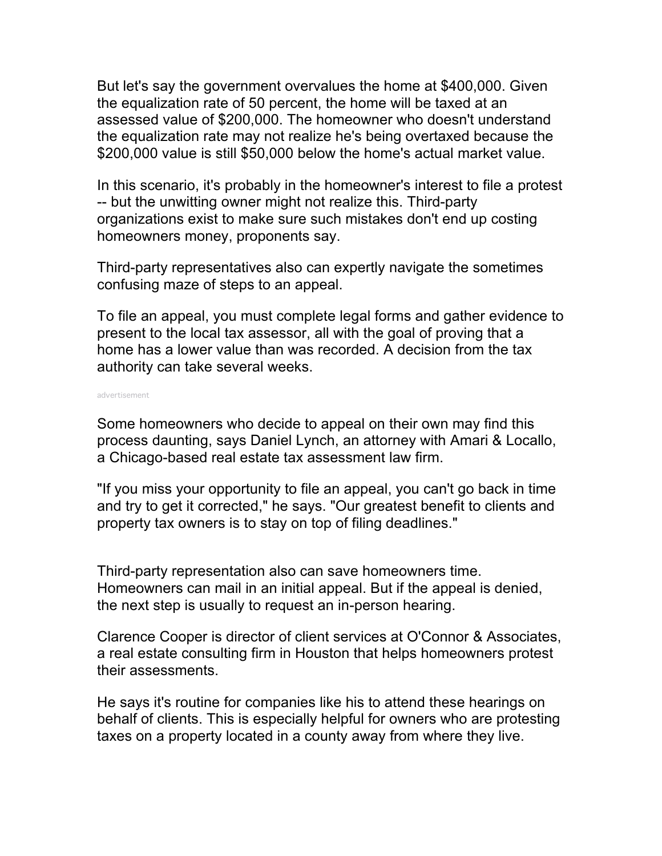But let's say the government overvalues the home at \$400,000. Given the equalization rate of 50 percent, the home will be taxed at an assessed value of \$200,000. The homeowner who doesn't understand the equalization rate may not realize he's being overtaxed because the \$200,000 value is still \$50,000 below the home's actual market value.

In this scenario, it's probably in the homeowner's interest to file a protest -- but the unwitting owner might not realize this. Third-party organizations exist to make sure such mistakes don't end up costing homeowners money, proponents say.

Third-party representatives also can expertly navigate the sometimes confusing maze of steps to an appeal.

To file an appeal, you must complete legal forms and gather evidence to present to the local tax assessor, all with the goal of proving that a home has a lower value than was recorded. A decision from the tax authority can take several weeks.

advertisement

Some homeowners who decide to appeal on their own may find this process daunting, says Daniel Lynch, an attorney with Amari & Locallo, a Chicago-based real estate tax assessment law firm.

"If you miss your opportunity to file an appeal, you can't go back in time and try to get it corrected," he says. "Our greatest benefit to clients and property tax owners is to stay on top of filing deadlines."

Third-party representation also can save homeowners time. Homeowners can mail in an initial appeal. But if the appeal is denied, the next step is usually to request an in-person hearing.

Clarence Cooper is director of client services at O'Connor & Associates, a real estate consulting firm in Houston that helps homeowners protest their assessments.

He says it's routine for companies like his to attend these hearings on behalf of clients. This is especially helpful for owners who are protesting taxes on a property located in a county away from where they live.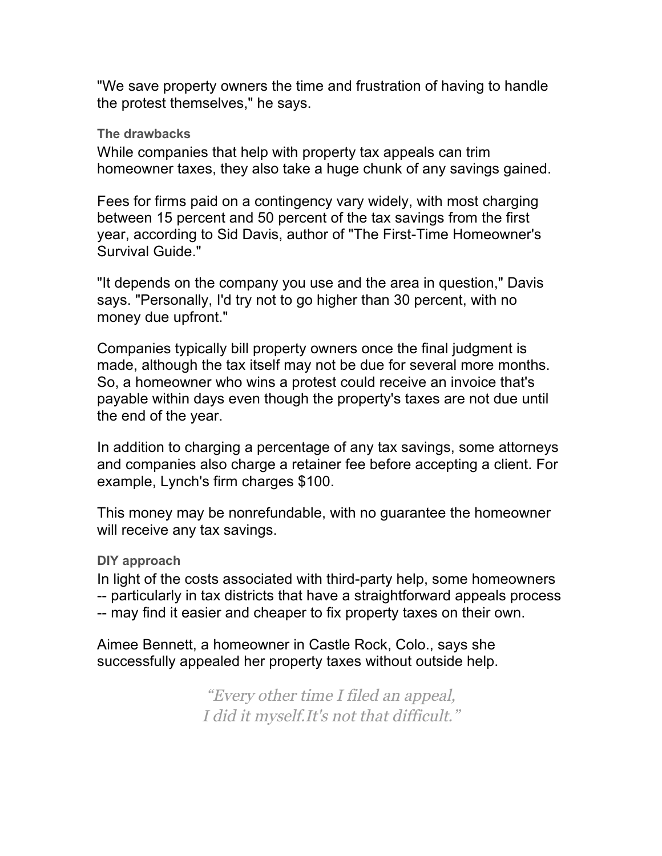"We save property owners the time and frustration of having to handle the protest themselves," he says.

## **The drawbacks**

While companies that help with property tax appeals can trim homeowner taxes, they also take a huge chunk of any savings gained.

Fees for firms paid on a contingency vary widely, with most charging between 15 percent and 50 percent of the tax savings from the first year, according to Sid Davis, author of "The First-Time Homeowner's Survival Guide."

"It depends on the company you use and the area in question," Davis says. "Personally, I'd try not to go higher than 30 percent, with no money due upfront."

Companies typically bill property owners once the final judgment is made, although the tax itself may not be due for several more months. So, a homeowner who wins a protest could receive an invoice that's payable within days even though the property's taxes are not due until the end of the year.

In addition to charging a percentage of any tax savings, some attorneys and companies also charge a retainer fee before accepting a client. For example, Lynch's firm charges \$100.

This money may be nonrefundable, with no guarantee the homeowner will receive any tax savings.

## **DIY approach**

In light of the costs associated with third-party help, some homeowners -- particularly in tax districts that have a straightforward appeals process -- may find it easier and cheaper to fix property taxes on their own.

Aimee Bennett, a homeowner in Castle Rock, Colo., says she successfully appealed her property taxes without outside help.

> "Every other time I filed an appeal, I did it myself.It's not that difficult."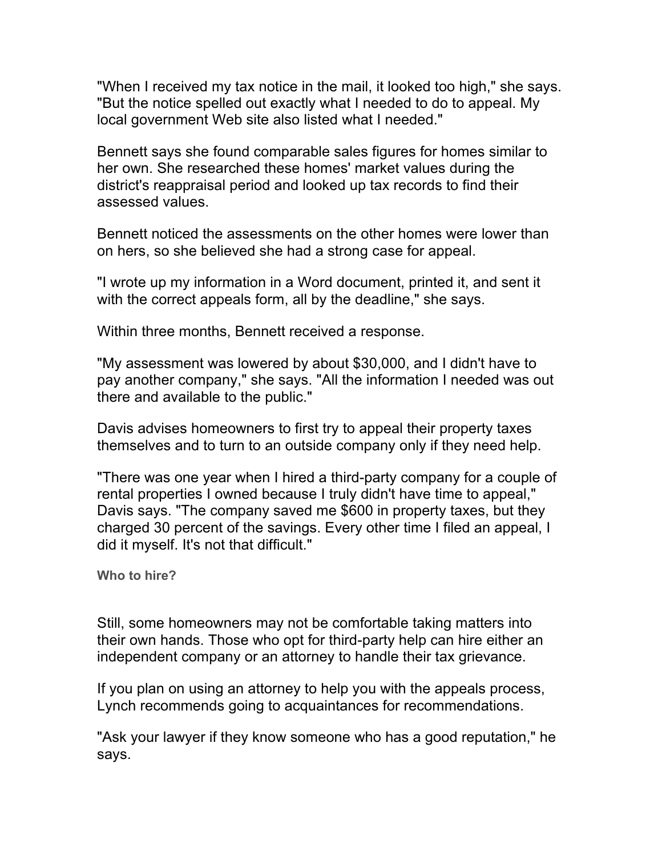"When I received my tax notice in the mail, it looked too high," she says. "But the notice spelled out exactly what I needed to do to appeal. My local government Web site also listed what I needed."

Bennett says she found comparable sales figures for homes similar to her own. She researched these homes' market values during the district's reappraisal period and looked up tax records to find their assessed values.

Bennett noticed the assessments on the other homes were lower than on hers, so she believed she had a strong case for appeal.

"I wrote up my information in a Word document, printed it, and sent it with the correct appeals form, all by the deadline," she says.

Within three months, Bennett received a response.

"My assessment was lowered by about \$30,000, and I didn't have to pay another company," she says. "All the information I needed was out there and available to the public."

Davis advises homeowners to first try to appeal their property taxes themselves and to turn to an outside company only if they need help.

"There was one year when I hired a third-party company for a couple of rental properties I owned because I truly didn't have time to appeal," Davis says. "The company saved me \$600 in property taxes, but they charged 30 percent of the savings. Every other time I filed an appeal, I did it myself. It's not that difficult."

**Who to hire?**

Still, some homeowners may not be comfortable taking matters into their own hands. Those who opt for third-party help can hire either an independent company or an attorney to handle their tax grievance.

If you plan on using an attorney to help you with the appeals process, Lynch recommends going to acquaintances for recommendations.

"Ask your lawyer if they know someone who has a good reputation," he says.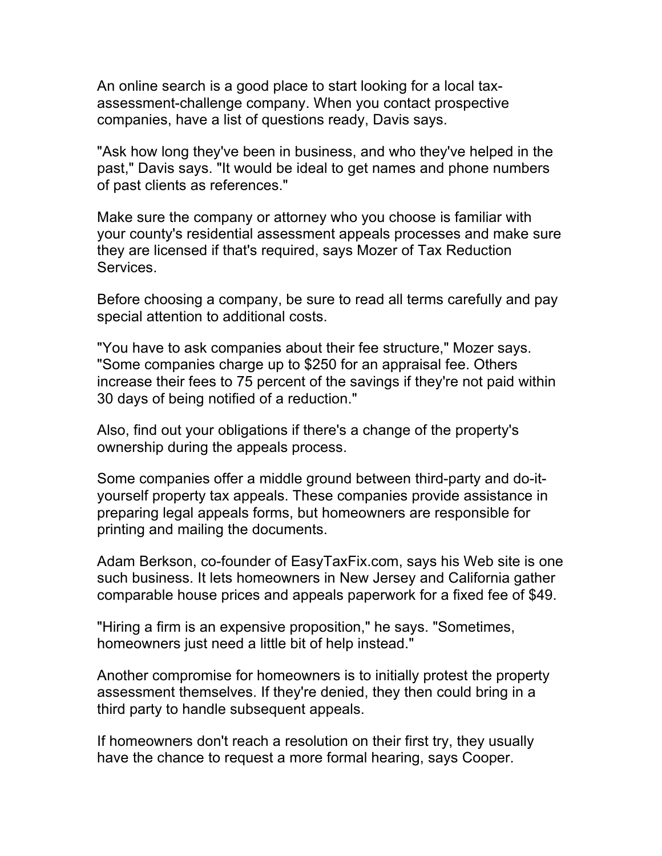An online search is a good place to start looking for a local taxassessment-challenge company. When you contact prospective companies, have a list of questions ready, Davis says.

"Ask how long they've been in business, and who they've helped in the past," Davis says. "It would be ideal to get names and phone numbers of past clients as references."

Make sure the company or attorney who you choose is familiar with your county's residential assessment appeals processes and make sure they are licensed if that's required, says Mozer of Tax Reduction Services.

Before choosing a company, be sure to read all terms carefully and pay special attention to additional costs.

"You have to ask companies about their fee structure," Mozer says. "Some companies charge up to \$250 for an appraisal fee. Others increase their fees to 75 percent of the savings if they're not paid within 30 days of being notified of a reduction."

Also, find out your obligations if there's a change of the property's ownership during the appeals process.

Some companies offer a middle ground between third-party and do-ityourself property tax appeals. These companies provide assistance in preparing legal appeals forms, but homeowners are responsible for printing and mailing the documents.

Adam Berkson, co-founder of EasyTaxFix.com, says his Web site is one such business. It lets homeowners in New Jersey and California gather comparable house prices and appeals paperwork for a fixed fee of \$49.

"Hiring a firm is an expensive proposition," he says. "Sometimes, homeowners just need a little bit of help instead."

Another compromise for homeowners is to initially protest the property assessment themselves. If they're denied, they then could bring in a third party to handle subsequent appeals.

If homeowners don't reach a resolution on their first try, they usually have the chance to request a more formal hearing, says Cooper.